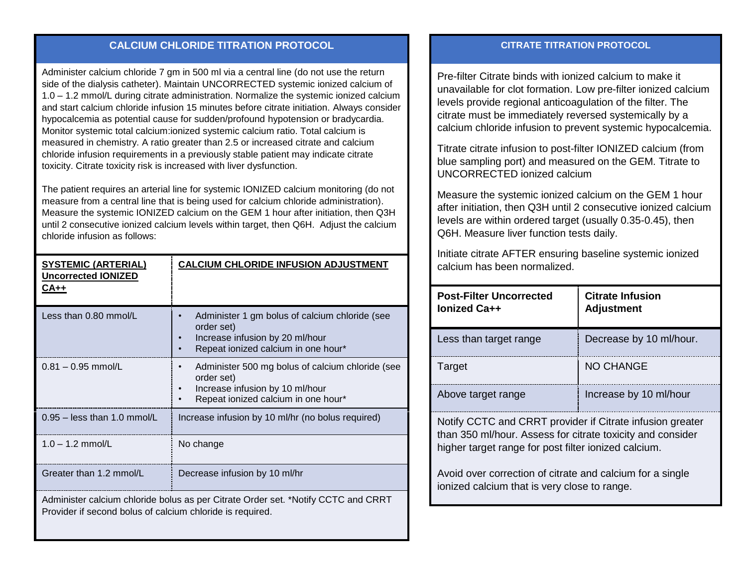## **CALCIUM CHLORIDE TITRATION PROTOCOL**

Administer calcium chloride 7 gm in 500 ml via a central line (do not use the return side of the dialysis catheter). Maintain UNCORRECTED systemic ionized calcium of 1.0 – 1.2 mmol/L during citrate administration. Normalize the systemic ionized calcium and start calcium chloride infusion 15 minutes before citrate initiation. Always consider hypocalcemia as potential cause for sudden/profound hypotension or bradycardia. Monitor systemic total calcium:ionized systemic calcium ratio. Total calcium is measured in chemistry. A ratio greater than 2.5 or increased citrate and calcium chloride infusion requirements in a previously stable patient may indicate citrate toxicity. Citrate toxicity risk is increased with liver dysfunction.

The patient requires an arterial line for systemic IONIZED calcium monitoring (do not measure from a central line that is being used for calcium chloride administration). Measure the systemic IONIZED calcium on the GEM 1 hour after initiation, then Q3H until 2 consecutive ionized calcium levels within target, then Q6H. Adjust the calcium chloride infusion as follows:

| <b>SYSTEMIC (ARTERIAL)</b><br><b>Uncorrected IONIZED</b><br>$CA++$                                                                             | <b>CALCIUM CHLORIDE INFUSION ADJUSTMENT</b>                                                                                              |  |
|------------------------------------------------------------------------------------------------------------------------------------------------|------------------------------------------------------------------------------------------------------------------------------------------|--|
| Less than 0.80 mmol/L                                                                                                                          | Administer 1 gm bolus of calcium chloride (see<br>order set)<br>Increase infusion by 20 ml/hour<br>Repeat ionized calcium in one hour*   |  |
| $0.81 - 0.95$ mmol/L                                                                                                                           | Administer 500 mg bolus of calcium chloride (see<br>order set)<br>Increase infusion by 10 ml/hour<br>Repeat ionized calcium in one hour* |  |
| $0.95 -$ less than 1.0 mmol/L                                                                                                                  | Increase infusion by 10 ml/hr (no bolus required)                                                                                        |  |
| $1.0 - 1.2$ mmol/L                                                                                                                             | No change                                                                                                                                |  |
| Greater than 1.2 mmol/L                                                                                                                        | Decrease infusion by 10 ml/hr                                                                                                            |  |
| Administer calcium chloride bolus as per Citrate Order set. *Notify CCTC and CRRT<br>Provider if second bolus of calcium chloride is required. |                                                                                                                                          |  |

## **CITRATE TITRATION PROTOCOL**

Pre-filter Citrate binds with ionized calcium to make it unavailable for clot formation. Low pre-filter ionized calcium levels provide regional anticoagulation of the filter. The citrate must be immediately reversed systemically by a calcium chloride infusion to prevent systemic hypocalcemia.

Titrate citrate infusion to post-filter IONIZED calcium (from blue sampling port) and measured on the GEM. Titrate to UNCORRECTED ionized calcium

Measure the systemic ionized calcium on the GEM 1 hour after initiation, then Q3H until 2 consecutive ionized calcium levels are within ordered target (usually 0.35-0.45), then Q6H. Measure liver function tests daily.

Initiate citrate AFTER ensuring baseline systemic ionized calcium has been normalized.

| <b>Post-Filter Uncorrected</b><br>lonized Ca++ | <b>Citrate Infusion</b><br><b>Adjustment</b> |
|------------------------------------------------|----------------------------------------------|
| Less than target range                         | Decrease by 10 ml/hour.                      |
| Target                                         | <b>NO CHANGE</b>                             |
| Above target range                             | Increase by 10 ml/hour                       |

Notify CCTC and CRRT provider if Citrate infusion greater than 350 ml/hour. Assess for citrate toxicity and consider higher target range for post filter ionized calcium.

Avoid over correction of citrate and calcium for a single ionized calcium that is very close to range.